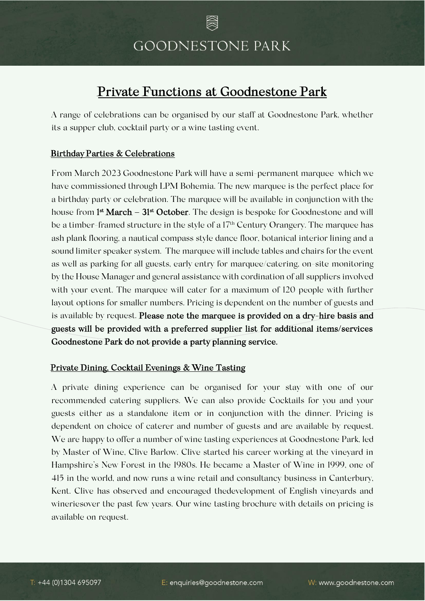## Private Functions at Goodnestone Park

A range of celebrations can be organised by our staff at Goodnestone Park, whether its a supper club, cocktail party or a wine tasting event.

## Birthday Parties & Celebrations

I

From March 2023 Goodnestone Park will have a semi-permanent marquee which we have commissioned through LPM Bohemia. The new marquee is the perfect place for a birthday party or celebration. The marquee will be available in conjunction with the house from 1<sup>st</sup> March – 31<sup>st</sup> October. The design is bespoke for Goodnestone and will be a timber-framed structure in the style of a 17<sup>th</sup> Century Orangery. The marquee has ash plank flooring, a nautical compass style dance floor, botanical interior lining and a sound limiter speaker system. The marquee will include tables and chairs for the event as well as parking for all guests, early entry for marquee/catering, on-site monitoring by the House Manager and general assistance with cordination of all suppliers involved with your event. The marquee will cater for a maximum of 120 people with further layout options for smaller numbers. Pricing is dependent on the number of guests and is available by request. Please note the marquee is provided on a dry-hire basis and guests will be provided with a preferred supplier list for additional items/services Goodnestone Park do not provide a party planning service.

## Private Dining, Cocktail Evenings & Wine Tasting

A private dining experience can be organised for your stay with one of our recommended catering suppliers. We can also provide Cocktails for you and your guests either as a standalone item or in conjunction with the dinner. Pricing is dependent on choice of caterer and number of guests and are available by request. We are happy to offer a number of wine tasting experiences at Goodnestone Park, led by Master of Wine, Clive Barlow. Clive started his career working at the vineyard in Hampshire's New Forest in the 1980s. He became a Master of Wine in 1999, one of 415 in the world, and now runs a wine retail and consultancy business in Canterbury, Kent. Clive has observed and encouraged thedevelopment of English vineyards and wineriesover the past few years. Our wine tasting brochure with details on pricing is available on request.